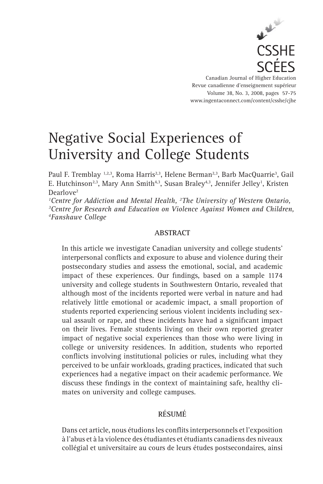

Canadian Journal of Higher Education Revue canadienne d'enseignement supérieur Volume 38, No. 3, 2008, pages 57-75 www.ingentaconnect.com/content/csshe/cjhe

# Negative Social Experiences of University and College Students

Paul F. Tremblay 1,2,3, Roma Harris<sup>2,3</sup>, Helene Berman<sup>2,3</sup>, Barb MacQuarrie<sup>3</sup>, Gail E. Hutchinson<sup>2,3</sup>, Mary Ann Smith<sup>4,3</sup>, Susan Braley<sup>4,3</sup>, Jennifer Jelley<sup>1</sup>, Kristen Dearlove<sup>2</sup>

*1 Centre for Addiction and Mental Health, 2 The University of Western Ontario, 3* <sup>3</sup> Centre for Research and Education on Violence Against Women and Children, *4 Fanshawe College*

# **ABSTRACT**

In this article we investigate Canadian university and college students' interpersonal conflicts and exposure to abuse and violence during their postsecondary studies and assess the emotional, social, and academic impact of these experiences. Our findings, based on a sample 1174 university and college students in Southwestern Ontario, revealed that although most of the incidents reported were verbal in nature and had relatively little emotional or academic impact, a small proportion of students reported experiencing serious violent incidents including sexual assault or rape, and these incidents have had a significant impact on their lives. Female students living on their own reported greater impact of negative social experiences than those who were living in college or university residences. In addition, students who reported conflicts involving institutional policies or rules, including what they perceived to be unfair workloads, grading practices, indicated that such experiences had a negative impact on their academic performance. We discuss these findings in the context of maintaining safe, healthy climates on university and college campuses.

# **RÉSUMÉ**

Dans cet article, nous étudions les conflits interpersonnels et l'exposition à l'abus et à la violence des étudiantes et étudiants canadiens des niveaux collégial et universitaire au cours de leurs études postsecondaires, ainsi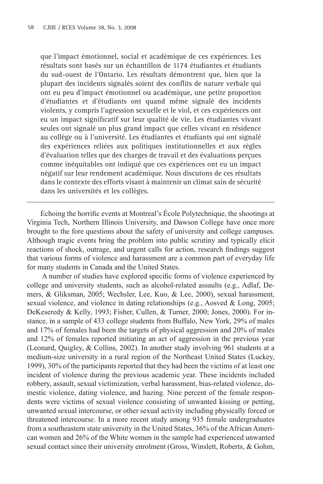que l'impact émotionnel, social et académique de ces expériences. Les résultats sont basés sur un échantillon de 1174 étudiantes et étudiants du sud-ouest de l'Ontario. Les résultats démontrent que, bien que la plupart des incidents signalés soient des conflits de nature verbale qui ont eu peu d'impact émotionnel ou académique, une petite proportion d'étudiantes et d'étudiants ont quand même signalé des incidents violents, y compris l'agression sexuelle et le viol, et ces expériences ont eu un impact significatif sur leur qualité de vie. Les étudiantes vivant seules ont signalé un plus grand impact que celles vivant en résidence au collège ou à l'université. Les étudiantes et étudiants qui ont signalé des expériences reliées aux politiques institutionnelles et aux règles d'évaluation telles que des charges de travail et des évaluations perçues comme inéquitables ont indiqué que ces expériences ont eu un impact négatif sur leur rendement académique. Nous discutons de ces résultats dans le contexte des efforts visant à maintenir un climat sain de sécurité dans les universités et les collèges.

Echoing the horrific events at Montreal's École Polytechnique, the shootings at Virginia Tech, Northern Illinois University, and Dawson College have once more brought to the fore questions about the safety of university and college campuses. Although tragic events bring the problem into public scrutiny and typically elicit reactions of shock, outrage, and urgent calls for action, research findings suggest that various forms of violence and harassment are a common part of everyday life for many students in Canada and the United States.

A number of studies have explored specific forms of violence experienced by college and university students, such as alcohol-related assaults (e.g., Adlaf, Demers, & Gliksman, 2005; Wechsler, Lee, Kuo, & Lee, 2000), sexual harassment, sexual violence, and violence in dating relationships (e.g., Aosved & Long, 2005; DeKeseredy & Kelly, 1993; Fisher, Cullen, & Turner, 2000; Jones, 2000). For instance, in a sample of 433 college students from Buffalo, New York, 29% of males and 17% of females had been the targets of physical aggression and 20% of males and 12% of females reported initiating an act of aggression in the previous year (Leonard, Quigley, & Collins, 2002). In another study involving 961 students at a medium-size university in a rural region of the Northeast United States (Luckey, 1999), 30% of the participants reported that they had been the victims of at least one incident of violence during the previous academic year. These incidents included robbery, assault, sexual victimization, verbal harassment, bias-related violence, domestic violence, dating violence, and hazing. Nine percent of the female respondents were victims of sexual violence consisting of unwanted kissing or petting, unwanted sexual intercourse, or other sexual activity including physically forced or threatened intercourse. In a more recent study among 935 female undergraduates from a southeastern state university in the United States, 36% of the African American women and 26% of the White women in the sample had experienced unwanted sexual contact since their university enrolment (Gross, Winslett, Roberts, & Gohm,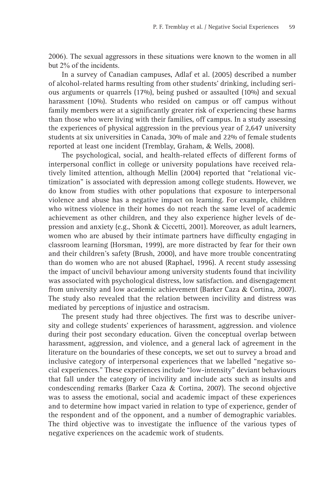2006). The sexual aggressors in these situations were known to the women in all but 2% of the incidents.

In a survey of Canadian campuses, Adlaf et al. (2005) described a number of alcohol-related harms resulting from other students' drinking, including serious arguments or quarrels (17%), being pushed or assaulted (10%) and sexual harassment (10%). Students who resided on campus or off campus without family members were at a significantly greater risk of experiencing these harms than those who were living with their families, off campus. In a study assessing the experiences of physical aggression in the previous year of 2,647 university students at six universities in Canada, 30% of male and 22% of female students reported at least one incident (Tremblay, Graham, & Wells, 2008).

The psychological, social, and health-related effects of different forms of interpersonal conflict in college or university populations have received relatively limited attention, although Mellin (2004) reported that "relational victimization" is associated with depression among college students. However, we do know from studies with other populations that exposure to interpersonal violence and abuse has a negative impact on learning. For example, children who witness violence in their homes do not reach the same level of academic achievement as other children, and they also experience higher levels of depression and anxiety (e.g., Shonk & Ciccetti, 2001). Moreover, as adult learners, women who are abused by their intimate partners have difficulty engaging in classroom learning (Horsman, 1999), are more distracted by fear for their own and their children's safety (Brush, 2000), and have more trouble concentrating than do women who are not abused (Raphael, 1996). A recent study assessing the impact of uncivil behaviour among university students found that incivility was associated with psychological distress, low satisfaction. and disengagement from university and low academic achievement (Barker Caza & Cortina, 2007). The study also revealed that the relation between incivility and distress was mediated by perceptions of injustice and ostracism.

The present study had three objectives. The first was to describe university and college students' experiences of harassment, aggression. and violence during their post secondary education. Given the conceptual overlap between harassment, aggression, and violence, and a general lack of agreement in the literature on the boundaries of these concepts, we set out to survey a broad and inclusive category of interpersonal experiences that we labelled "negative social experiences." These experiences include "low-intensity" deviant behaviours that fall under the category of incivility and include acts such as insults and condescending remarks (Barker Caza & Cortina, 2007). The second objective was to assess the emotional, social and academic impact of these experiences and to determine how impact varied in relation to type of experience, gender of the respondent and of the opponent, and a number of demographic variables. The third objective was to investigate the influence of the various types of negative experiences on the academic work of students.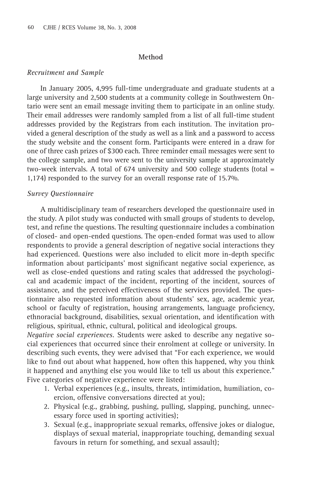## **Method**

### *Recruitment and Sample*

In January 2005, 4,995 full-time undergraduate and graduate students at a large university and 2,500 students at a community college in Southwestern Ontario were sent an email message inviting them to participate in an online study. Their email addresses were randomly sampled from a list of all full-time student addresses provided by the Registrars from each institution. The invitation provided a general description of the study as well as a link and a password to access the study website and the consent form. Participants were entered in a draw for one of three cash prizes of \$300 each. Three reminder email messages were sent to the college sample, and two were sent to the university sample at approximately two-week intervals. A total of 674 university and 500 college students (total = 1,174) responded to the survey for an overall response rate of 15.7%.

## *Survey Questionnaire*

A multidisciplinary team of researchers developed the questionnaire used in the study. A pilot study was conducted with small groups of students to develop, test, and refine the questions. The resulting questionnaire includes a combination of closed- and open-ended questions. The open-ended format was used to allow respondents to provide a general description of negative social interactions they had experienced. Questions were also included to elicit more in-depth specific information about participants' most significant negative social experience, as well as close-ended questions and rating scales that addressed the psychological and academic impact of the incident, reporting of the incident, sources of assistance, and the perceived effectiveness of the services provided. The questionnaire also requested information about students' sex, age, academic year, school or faculty of registration, housing arrangements, language proficiency, ethnoracial background, disabilities, sexual orientation, and identification with religious, spiritual, ethnic, cultural, political and ideological groups.

*Negative social experiences.* Students were asked to describe any negative social experiences that occurred since their enrolment at college or university. In describing such events, they were advised that "For each experience, we would like to find out about what happened, how often this happened, why you think it happened and anything else you would like to tell us about this experience." Five categories of negative experience were listed:

- 1. Verbal experiences (e.g., insults, threats, intimidation, humiliation, coercion, offensive conversations directed at you);
- 2. Physical (e.g., grabbing, pushing, pulling, slapping, punching, unnecessary force used in sporting activities);
- Sexual (e.g., inappropriate sexual remarks, offensive jokes or dialogue, 3.displays of sexual material, inappropriate touching, demanding sexual favours in return for something, and sexual assault);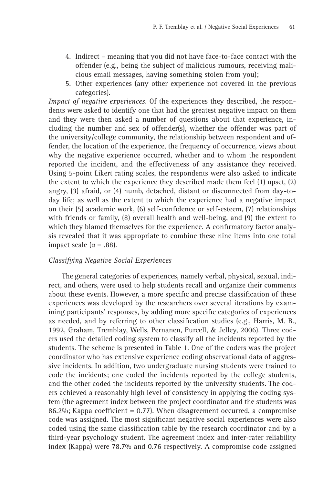- 4. Indirect meaning that you did not have face-to-face contact with the offender (e.g., being the subject of malicious rumours, receiving malicious email messages, having something stolen from you);
- 5. Other experiences (any other experience not covered in the previous categories).

*Impact of negative experiences*. Of the experiences they described, the respondents were asked to identify one that had the greatest negative impact on them and they were then asked a number of questions about that experience, including the number and sex of offender(s), whether the offender was part of the university/college community, the relationship between respondent and offender, the location of the experience, the frequency of occurrence, views about why the negative experience occurred, whether and to whom the respondent reported the incident, and the effectiveness of any assistance they received. Using 5-point Likert rating scales, the respondents were also asked to indicate the extent to which the experience they described made them feel (1) upset, (2) angry, (3) afraid, or (4) numb, detached, distant or disconnected from day-today life; as well as the extent to which the experience had a negative impact on their (5) academic work, (6) self-confidence or self-esteem,  $(7)$  relationships with friends or family, (8) overall health and well-being, and (9) the extent to which they blamed themselves for the experience. A confirmatory factor analysis revealed that it was appropriate to combine these nine items into one total impact scale ( $α = .88$ ).

## *Classifying Negative Social Experiences*

The general categories of experiences, namely verbal, physical, sexual, indirect, and others, were used to help students recall and organize their comments about these events. However, a more specific and precise classification of these experiences was developed by the researchers over several iterations by examining participants' responses, by adding more specific categories of experiences as needed, and by referring to other classification studies (e.g., Harris, M. B., 1992, Graham, Tremblay, Wells, Pernanen, Purcell, & Jelley, 2006). Three coders used the detailed coding system to classify all the incidents reported by the students. The scheme is presented in Table 1. One of the coders was the project coordinator who has extensive experience coding observational data of aggressive incidents. In addition, two undergraduate nursing students were trained to code the incidents; one coded the incidents reported by the college students, and the other coded the incidents reported by the university students. The coders achieved a reasonably high level of consistency in applying the coding system (the agreement index between the project coordinator and the students was 86.2%; Kappa coefficient = 0.77). When disagreement occurred, a compromise code was assigned. The most significant negative social experiences were also coded using the same classification table by the research coordinator and by a third-year psychology student. The agreement index and inter-rater reliability index (Kappa) were 78.7% and 0.76 respectively. A compromise code assigned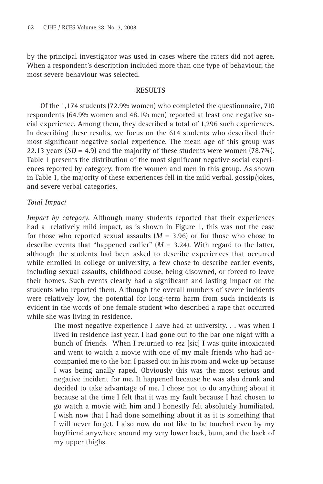by the principal investigator was used in cases where the raters did not agree. When a respondent's description included more than one type of behaviour, the most severe behaviour was selected.

# **RESULTS**

Of the 1,174 students (72.9% women) who completed the questionnaire, 710 respondents (64.9% women and 48.1% men) reported at least one negative social experience. Among them, they described a total of 1,296 such experiences. In describing these results, we focus on the 614 students who described their most significant negative social experience. The mean age of this group was 22.13 years  $(SD = 4.9)$  and the majority of these students were women  $(78.7\%)$ . Table 1 presents the distribution of the most significant negative social experiences reported by category, from the women and men in this group. As shown in Table 1, the majority of these experiences fell in the mild verbal, gossip/jokes, and severe verbal categories.

# *Total Impact*

*Impact by category*. Although many students reported that their experiences had a relatively mild impact, as is shown in Figure 1, this was not the case for those who reported sexual assaults  $(M = 3.96)$  or for those who chose to describe events that "happened earlier"  $(M = 3.24)$ . With regard to the latter, although the students had been asked to describe experiences that occurred while enrolled in college or university, a few chose to describe earlier events, including sexual assaults, childhood abuse, being disowned, or forced to leave their homes. Such events clearly had a significant and lasting impact on the students who reported them. Although the overall numbers of severe incidents were relatively low, the potential for long-term harm from such incidents is evident in the words of one female student who described a rape that occurred while she was living in residence.

> The most negative experience I have had at university. . . was when I lived in residence last year. I had gone out to the bar one night with a bunch of friends. When I returned to rez [sic] I was quite intoxicated and went to watch a movie with one of my male friends who had accompanied me to the bar. I passed out in his room and woke up because I was being anally raped. Obviously this was the most serious and negative incident for me. It happened because he was also drunk and decided to take advantage of me. I chose not to do anything about it because at the time I felt that it was my fault because I had chosen to go watch a movie with him and I honestly felt absolutely humiliated. I wish now that I had done something about it as it is something that I will never forget. I also now do not like to be touched even by my boyfriend anywhere around my very lower back, bum, and the back of my upper thighs.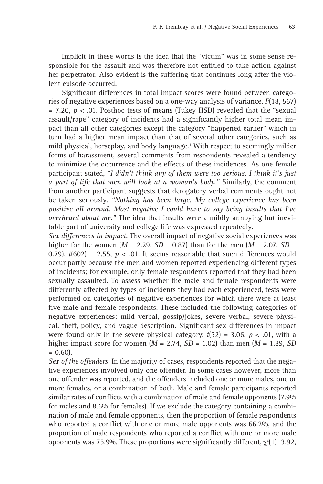Implicit in these words is the idea that the "victim" was in some sense responsible for the assault and was therefore not entitled to take action against her perpetrator. Also evident is the suffering that continues long after the violent episode occurred.

Significant differences in total impact scores were found between categories of negative experiences based on a one-way analysis of variance, *F*(18, 567)  $= 7.20, p < .01$ . Posthoc tests of means (Tukey HSD) revealed that the "sexual assault/rape" category of incidents had a significantly higher total mean impact than all other categories except the category "happened earlier" which in turn had a higher mean impact than that of several other categories, such as mild physical, horseplay, and body language.1 With respect to seemingly milder forms of harassment, several comments from respondents revealed a tendency to minimize the occurrence and the effects of these incidences. As one female participant stated, *"I didn't think any of them were too serious. I think it's just a part of life that men will look at a woman's body."* Similarly, the comment from another participant suggests that derogatory verbal comments ought not be taken seriously. *"Nothing has been large. My college experience has been positive all around. Most negative I could have to say being insults that I've overheard about me."* The idea that insults were a mildly annoying but inevitable part of university and college life was expressed repeatedly.

*Sex differences in impact.* The overall impact of negative social experiences was higher for the women  $(M = 2.29, SD = 0.87)$  than for the men  $(M = 2.07, SD =$ 0.79),  $t(602) = 2.55$ ,  $p < .01$ . It seems reasonable that such differences would occur partly because the men and women reported experiencing different types of incidents; for example, only female respondents reported that they had been sexually assaulted. To assess whether the male and female respondents were differently affected by types of incidents they had each experienced, tests were performed on categories of negative experiences for which there were at least five male and female respondents. These included the following categories of negative experiences: mild verbal, gossip/jokes, severe verbal, severe physical, theft, policy, and vague description. Significant sex differences in impact were found only in the severe physical category,  $t(32) = 3.06$ ,  $p < .01$ , with a higher impact score for women  $(M = 2.74, SD = 1.02)$  than men  $(M = 1.89, SD$  $= 0.60$ .

*Sex of the offenders*. In the majority of cases, respondents reported that the negative experiences involved only one offender. In some cases however, more than one offender was reported, and the offenders included one or more males, one or more females, or a combination of both. Male and female participants reported similar rates of conflicts with a combination of male and female opponents (7.9%) for males and 8.6% for females). If we exclude the category containing a combination of male and female opponents, then the proportion of female respondents who reported a conflict with one or more male opponents was 66.2%, and the proportion of male respondents who reported a conflict with one or more male opponents was 75.9%. These proportions were significantly different,  $\chi^2(1)=3.92$ ,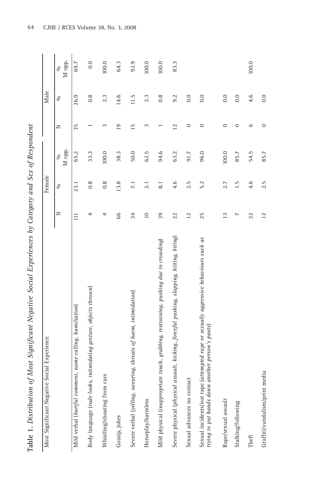| Í<br>ł                        |
|-------------------------------|
| I<br>I<br>,                   |
| ι<br>J                        |
|                               |
| ١<br>$\overline{\phantom{a}}$ |
| í                             |
| í                             |
| I<br>l<br>į                   |
| ļ<br>١                        |
| ĭ                             |
| ī<br>١                        |
| ١                             |
| I                             |
| l                             |
| $\frac{1}{10}$                |

| Most Significant Negative Social Experience                                                                                             |                 | Female           |                      |                 | Male             |                          |
|-----------------------------------------------------------------------------------------------------------------------------------------|-----------------|------------------|----------------------|-----------------|------------------|--------------------------|
|                                                                                                                                         | z               | $\%$             | M opp.<br>$\sqrt{6}$ | z               | $\%$             | M opp.<br>S <sub>0</sub> |
| Mild verbal (hurtful comment, name calling, humiliation)                                                                                | $\Xi$           | 23.1             | 65.2                 | 35              | 26.9             | 69.7                     |
| Body language (rude looks, intimidating gesture, objects thrown)                                                                        | 4               | $0.\overline{8}$ | 33.3                 |                 | $0.\overline{8}$ | 0.0                      |
| cars<br>Whistling/shouting from                                                                                                         | 4               | 0.8              | 100.0                | $\sim$          | 2.3              | 100.0                    |
| Gossip, jokes                                                                                                                           | 66              | 13.8             | 38.3                 | $\overline{19}$ | 14.6             | 64.3                     |
| Severe verbal (yelling, swearing, threats of harm, intimidation)                                                                        | 34              | 7.1              | 50.0                 | 15              | 11.5             | 92.9                     |
| Horseplay/harmless                                                                                                                      | $\supseteq$     | 2.1              | 62.5                 | $\sim$          | 2.3              | 100.0                    |
| Mild physical (inappropriate touch, grabbing, restraining, pushing due to crowding)                                                     | 39              | $\overline{6}$   | 94.6                 |                 | 0.8              | 100.0                    |
| Severe physical (physical assault, kicking, forceful pushing, slapping, hitting, biting)                                                | 22              | 4.6              | 63.2                 | $\overline{12}$ | 9.2              | 83.3                     |
| tact<br>Sexual advances no cont                                                                                                         | $\overline{12}$ | 2.5              | 91.7                 | $\circ$         | 0.0              |                          |
| Sexual incidents/not rape (attempted rape or sexually aggressive behaviours such as<br>trying to put hands down another person's pants) | 25              | 5.2              | 96.0                 | $\circ$         | 0.0              |                          |
| Rape/sexual assault                                                                                                                     | $\overline{13}$ | 2.7              | 100.0                | $\circ$         | 0.0              |                          |
| Stalking/following                                                                                                                      | L               | 1.5              | 85.7                 | $\circ$         | 0.0              |                          |
| Theft                                                                                                                                   | 22              | 4.6              | 54.5                 | $\circ$         | 4.6              | 100.0                    |
| Graffiti/vandalism/print media                                                                                                          | 12              | 2.5              | 85.7                 | $\circ$         | 0.0              |                          |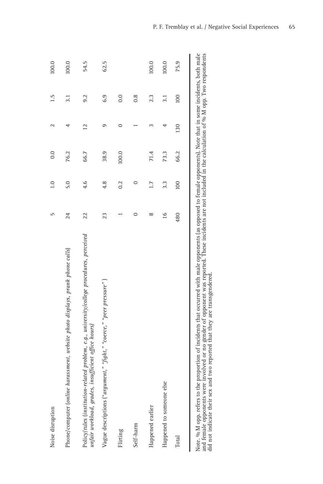| Noise disruption                                                                                                                                               | 5             | $\ddot{=}$ | 0.0   | $\mathbf{\sim}$ | 1.5 | 100.0 |
|----------------------------------------------------------------------------------------------------------------------------------------------------------------|---------------|------------|-------|-----------------|-----|-------|
| Phone/computer (online harassment, website photo displays, prank phone calls)                                                                                  | 24            | 5.0        | 76.2  | 4               | 3.1 | 100.0 |
| Policy/rules (institution-related problem, e.g., university/college procedures, perceived<br>unfair workload, grades, insufficient office hours)               | 22            | 4.6        | 66.7  | 12              | 9.2 | 54.5  |
| Vague descriptions ("argument," "fight," "coerce," "peer pressure")                                                                                            | 23            | 4.8        | 38.9  | 9               | 6.9 | 62.5  |
| Flirting                                                                                                                                                       |               | 0.2        | 100.0 | $\circ$         | 0.0 |       |
| Self-harm                                                                                                                                                      | 0             | $\circ$    |       |                 | 0.8 |       |
| Happened earlier                                                                                                                                               | $\infty$      | 1.7        | 71.4  |                 | 2.3 | 100.0 |
| else<br>Happened to someone                                                                                                                                    | $\frac{6}{1}$ | 3.3        | 73.3  | 4               | 3.1 | 100.0 |
| Total                                                                                                                                                          | 480           | 100        | 66.2  | 130             | 100 | 75.9  |
| ote. % M opp. refers to the proportion of incidents that occurred with male opponents (as opposed to female opponents). Note that in some incidents, both male |               |            |       |                 |     |       |

Note. % M opp. refers to the proportion of incidents that occurred with male opponents (as opposed to female opponents). Note that in some incidents, both male<br>and female opponents were involved or no gender of opponent wa Note. % M opp. refers to the proportion of incidents that occurred with male opponents (as opposed to female opponents). Note that in some incidents, both male and female opponents were involved or no gender of opponent was reported. These incidents are not included in the calculation of % M opp. Two respondents did not indicate their sex and two reported that they are transgendered.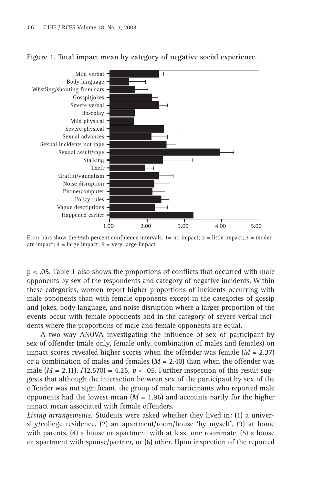

## **Figure 1. Total impact mean by category of negative social experience.**

Error bars show the 95th percent confidence intervals.  $1=$  no impact;  $2 =$  little impact;  $3 =$  moderate impact; 4 = large impact; 5 = very large impact.

 $p < .05$ . Table 1 also shows the proportions of conflicts that occurred with male opponents by sex of the respondents and category of negative incidents. Within these categories, women report higher proportions of incidents occurring with male opponents than with female opponents except in the categories of gossip and jokes, body language, and noise disruption where a larger proportion of the events occur with female opponents and in the category of severe verbal incidents where the proportions of male and female opponents are equal.

A two-way ANOVA investigating the influence of sex of participant by sex of offender (male only, female only, combination of males and females) on impact scores revealed higher scores when the offender was female (*M* = 2.37) or a combination of males and females  $(M = 2.40)$  than when the offender was male  $(M = 2.11)$ ,  $F(2,570) = 4.25$ ,  $p < .05$ . Further inspection of this result suggests that although the interaction between sex of the participant by sex of the offender was not significant, the group of male participants who reported male opponents had the lowest mean  $(M = 1.96)$  and accounts partly for the higher impact mean associated with female offenders.

*Living arrangements.* Students were asked whether they lived in: (1) a university/college residence, (2) an apartment/room/house 'by myself', (3) at home with parents, (4) a house or apartment with at least one roommate, (5) a house or apartment with spouse/partner, or (6) other. Upon inspection of the reported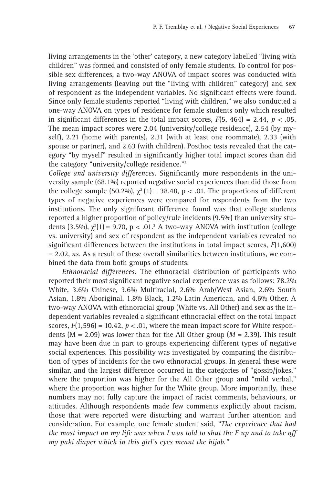living arrangements in the 'other' category, a new category labelled "living with children" was formed and consisted of only female students. To control for possible sex differences, a two-way ANOVA of impact scores was conducted with living arrangements (leaving out the "living with children" category) and sex of respondent as the independent variables. No significant effects were found. Since only female students reported "living with children," we also conducted a one-way ANOVA on types of residence for female students only which resulted in significant differences in the total impact scores,  $F(5, 464) = 2.44$ ,  $p < .05$ . The mean impact scores were 2.04 (university/college residence), 2.54 (by myself), 2.21 (home with parents), 2.31 (with at least one roommate), 2.33 (with spouse or partner), and 2.63 (with children). Posthoc tests revealed that the category "by myself" resulted in significantly higher total impact scores than did the category "university/college residence."2

*College and university differences.* Significantly more respondents in the university sample (68.1%) reported negative social experiences than did those from the college sample (50.2%),  $\chi^2$  (1) = 38.48, p < .01. The proportions of different types of negative experiences were compared for respondents from the two institutions. The only significant difference found was that college students reported a higher proportion of policy/rule incidents (9.5%) than university students (3.5%),  $\chi^2(1)$  = 9.70, p < .01.<sup>3</sup> A two-way ANOVA with institution (college vs. university) and sex of respondent as the independent variables revealed no significant differences between the institutions in total impact scores,  $F(1,600)$ = 2.02, *ns*. As a result of these overall similarities between institutions, we combined the data from both groups of students.

*Ethnoracial differences.* The ethnoracial distribution of participants who reported their most significant negative social experience was as follows: 78.2% White, 3.6% Chinese, 3.6% Multiracial, 2.6% Arab/West Asian, 2.6% South Asian, 1.8% Aboriginal, 1.8% Black, 1.2% Latin American, and 4.6% Other. A two-way ANOVA with ethnoracial group (White vs. All Other) and sex as the independent variables revealed a significant ethnoracial effect on the total impact scores,  $F(1,596) = 10.42$ ,  $p < 0.01$ , where the mean impact score for White respondents ( $M = 2.09$ ) was lower than for the All Other group ( $M = 2.39$ ). This result may have been due in part to groups experiencing different types of negative social experiences. This possibility was investigated by comparing the distribution of types of incidents for the two ethnoracial groups. In general these were similar, and the largest difference occurred in the categories of "gossip/jokes," where the proportion was higher for the All Other group and "mild verbal," where the proportion was higher for the White group. More importantly, these numbers may not fully capture the impact of racist comments, behaviours, or attitudes. Although respondents made few comments explicitly about racism, those that were reported were disturbing and warrant further attention and consideration. For example, one female student said, *"The experience that had the most impact on my life was when I was told to shut the F up and to take off my paki diaper which in this girl's eyes meant the hijab."*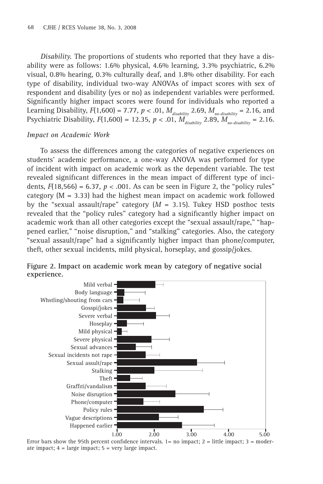*Disability.* The proportions of students who reported that they have a disability were as follows: 1.6% physical, 4.6% learning, 3.3% psychiatric, 6.2% visual, 0.8% hearing, 0.3% culturally deaf, and 1.8% other disability. For each type of disability, individual two-way ANOVAs of impact scores with sex of respondent and disability (yes or no) as independent variables were performed. Significantly higher impact scores were found for individuals who reported a Learning Disability,  $F(1,600) = 7.77$ ,  $p < .01$ ,  $M_{disability}$  2.69,  $M_{no-disability} = 2.16$ , and Psychiatric Disability,  $F(1,600) = 12.35, p < .01, M_{disability}^T 2.89, M_{no-disability} = 2.16.$ 

# *Impact on Academic Work*

To assess the differences among the categories of negative experiences on students' academic performance, a one-way ANOVA was performed for type of incident with impact on academic work as the dependent variable. The test revealed significant differences in the mean impact of different type of incidents,  $F(18,566) = 6.37$ ,  $p < .001$ . As can be seen in Figure 2, the "policy rules" category  $(M = 3.33)$  had the highest mean impact on academic work followed by the "sexual assault/rape" category  $(M = 3.15)$ . Tukey HSD posthoc tests revealed that the "policy rules" category had a significantly higher impact on academic work than all other categories except the "sexual assault/rape," "happened earlier," "noise disruption," and "stalking" categories. Also, the category "sexual assault/rape" had a significantly higher impact than phone/computer, theft, other sexual incidents, mild physical, horseplay, and gossip/jokes.



**Figure 2. Impact on academic work mean by category of negative social experience.**

Error bars show the 95th percent confidence intervals. 1= no impact;  $2 =$  little impact;  $3 =$  moderate impact;  $4 = \text{large impact}$ ;  $5 = \text{very large impact}$ .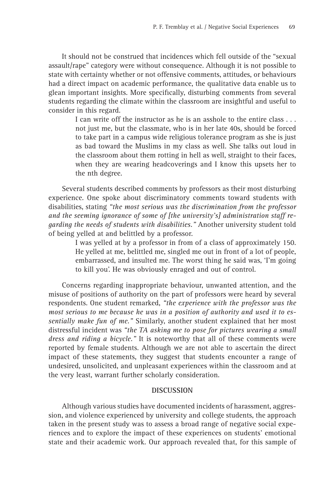It should not be construed that incidences which fell outside of the "sexual assault/rape" category were without consequence. Although it is not possible to state with certainty whether or not offensive comments, attitudes, or behaviours had a direct impact on academic performance, the qualitative data enable us to glean important insights. More specifically, disturbing comments from several students regarding the climate within the classroom are insightful and useful to consider in this regard.

> I can write off the instructor as he is an asshole to the entire class ... not just me, but the classmate, who is in her late 40s, should be forced to take part in a campus wide religious tolerance program as she is just as bad toward the Muslims in my class as well. She talks out loud in the classroom about them rotting in hell as well, straight to their faces, when they are wearing headcoverings and I know this upsets her to the nth degree.

Several students described comments by professors as their most disturbing experience. One spoke about discriminatory comments toward students with disabilities, stating *"the most serious was the discrimination from the professor and the seeming ignorance of some of [the university's] administration staff regarding the needs of students with disabilities."* Another university student told of being yelled at and belittled by a professor.

> I was yelled at by a professor in from of a class of approximately 150. He yelled at me, belittled me, singled me out in front of a lot of people, embarrassed, and insulted me. The worst thing he said was, 'I'm going to kill you'. He was obviously enraged and out of control.

Concerns regarding inappropriate behaviour, unwanted attention, and the misuse of positions of authority on the part of professors were heard by several respondents. One student remarked, *"the experience with the professor was the most serious to me because he was in a position of authority and used it to essentially make fun of me."* Similarly, another student explained that her most distressful incident was *"the TA asking me to pose for pictures wearing a small dress and riding a bicycle."* It is noteworthy that all of these comments were reported by female students. Although we are not able to ascertain the direct impact of these statements, they suggest that students encounter a range of undesired, unsolicited, and unpleasant experiences within the classroom and at the very least, warrant further scholarly consideration.

#### **DISCUSSION**

Although various studies have documented incidents of harassment, aggression, and violence experienced by university and college students, the approach taken in the present study was to assess a broad range of negative social experiences and to explore the impact of these experiences on students' emotional state and their academic work. Our approach revealed that, for this sample of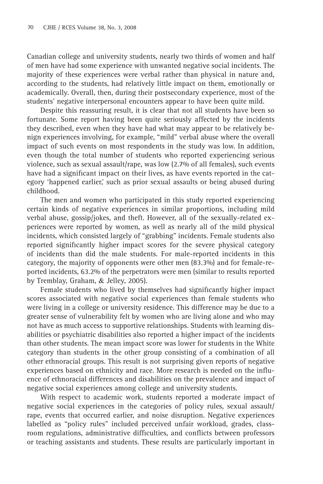Canadian college and university students, nearly two thirds of women and half of men have had some experience with unwanted negative social incidents. The majority of these experiences were verbal rather than physical in nature and, according to the students, had relatively little impact on them, emotionally or academically. Overall, then, during their postsecondary experience, most of the students' negative interpersonal encounters appear to have been quite mild.

Despite this reassuring result, it is clear that not all students have been so fortunate. Some report having been quite seriously affected by the incidents they described, even when they have had what may appear to be relatively benign experiences involving, for example, "mild" verbal abuse where the overall impact of such events on most respondents in the study was low. In addition, even though the total number of students who reported experiencing serious violence, such as sexual assault/rape, was low (2.7% of all females), such events have had a significant impact on their lives, as have events reported in the category 'happened earlier,' such as prior sexual assaults or being abused during childhood.

The men and women who participated in this study reported experiencing certain kinds of negative experiences in similar proportions, including mild verbal abuse, gossip/jokes, and theft. However, all of the sexually-related experiences were reported by women, as well as nearly all of the mild physical incidents, which consisted largely of "grabbing" incidents. Female students also reported significantly higher impact scores for the severe physical category of incidents than did the male students. For male-reported incidents in this category, the majority of opponents were other men (83.3%) and for female-reported incidents, 63.2% of the perpetrators were men (similar to results reported by Tremblay, Graham, & Jelley, 2005).

Female students who lived by themselves had significantly higher impact scores associated with negative social experiences than female students who were living in a college or university residence. This difference may be due to a greater sense of vulnerability felt by women who are living alone and who may not have as much access to supportive relationships. Students with learning disabilities or psychiatric disabilities also reported a higher impact of the incidents than other students. The mean impact score was lower for students in the White category than students in the other group consisting of a combination of all other ethnoracial groups. This result is not surprising given reports of negative experiences based on ethnicity and race. More research is needed on the influence of ethnoracial differences and disabilities on the prevalence and impact of negative social experiences among college and university students.

With respect to academic work, students reported a moderate impact of negative social experiences in the categories of policy rules, sexual assault/ rape, events that occurred earlier, and noise disruption. Negative experiences labelled as "policy rules" included perceived unfair workload, grades, classroom regulations, administrative difficulties, and conflicts between professors or teaching assistants and students. These results are particularly important in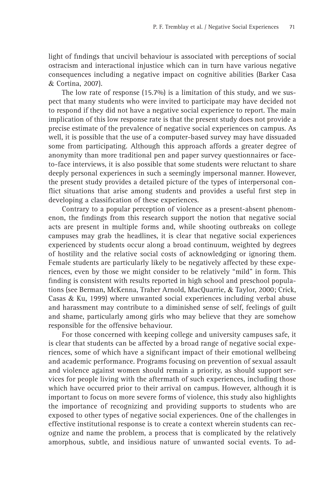light of findings that uncivil behaviour is associated with perceptions of social ostracism and interactional injustice which can in turn have various negative consequences including a negative impact on cognitive abilities (Barker Casa & Cortina, 2007).

The low rate of response (15.7%) is a limitation of this study, and we suspect that many students who were invited to participate may have decided not to respond if they did not have a negative social experience to report. The main implication of this low response rate is that the present study does not provide a precise estimate of the prevalence of negative social experiences on campus. As well, it is possible that the use of a computer-based survey may have dissuaded some from participating. Although this approach affords a greater degree of anonymity than more traditional pen and paper survey questionnaires or faceto-face interviews, it is also possible that some students were reluctant to share deeply personal experiences in such a seemingly impersonal manner. However, the present study provides a detailed picture of the types of interpersonal conflict situations that arise among students and provides a useful first step in developing a classification of these experiences.

Contrary to a popular perception of violence as a present-absent phenomenon, the findings from this research support the notion that negative social acts are present in multiple forms and, while shooting outbreaks on college campuses may grab the headlines, it is clear that negative social experiences experienced by students occur along a broad continuum, weighted by degrees of hostility and the relative social costs of acknowledging or ignoring them. Female students are particularly likely to be negatively affected by these experiences, even by those we might consider to be relatively "mild" in form. This finding is consistent with results reported in high school and preschool populations (see Berman, McKenna, Traher Arnold, MacQuarrie, & Taylor, 2000; Crick, Casas & Ku, 1999) where unwanted social experiences including verbal abuse and harassment may contribute to a diminished sense of self, feelings of guilt and shame, particularly among girls who may believe that they are somehow responsible for the offensive behaviour.

For those concerned with keeping college and university campuses safe, it is clear that students can be affected by a broad range of negative social experiences, some of which have a significant impact of their emotional wellbeing and academic performance. Programs focusing on prevention of sexual assault and violence against women should remain a priority, as should support services for people living with the aftermath of such experiences, including those which have occurred prior to their arrival on campus. However, although it is important to focus on more severe forms of violence, this study also highlights the importance of recognizing and providing supports to students who are exposed to other types of negative social experiences. One of the challenges in effective institutional response is to create a context wherein students can recognize and name the problem, a process that is complicated by the relatively amorphous, subtle, and insidious nature of unwanted social events. To ad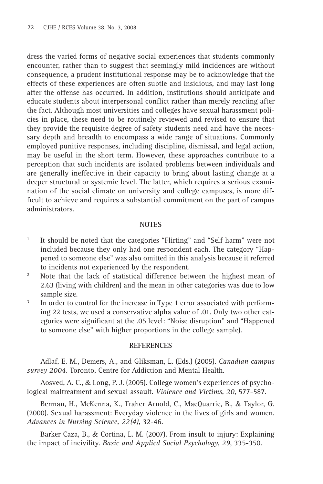dress the varied forms of negative social experiences that students commonly encounter, rather than to suggest that seemingly mild incidences are without consequence, a prudent institutional response may be to acknowledge that the effects of these experiences are often subtle and insidious, and may last long after the offense has occurred. In addition, institutions should anticipate and educate students about interpersonal conflict rather than merely reacting after the fact. Although most universities and colleges have sexual harassment policies in place, these need to be routinely reviewed and revised to ensure that they provide the requisite degree of safety students need and have the necessary depth and breadth to encompass a wide range of situations. Commonly employed punitive responses, including discipline, dismissal, and legal action, may be useful in the short term. However, these approaches contribute to a perception that such incidents are isolated problems between individuals and are generally ineffective in their capacity to bring about lasting change at a deeper structural or systemic level. The latter, which requires a serious examination of the social climate on university and college campuses, is more difficult to achieve and requires a substantial commitment on the part of campus administrators.

#### **NOTES**

- <sup>1</sup> It should be noted that the categories "Flirting" and "Self harm" were not included because they only had one respondent each. The category "Happened to someone else" was also omitted in this analysis because it referred to incidents not experienced by the respondent.<br><sup>2</sup> Note that the lack of statistical difference between the highest mean of
- 2.63 (living with children) and the mean in other categories was due to low sample size.
- <sup>3</sup> In order to control for the increase in Type 1 error associated with performing 22 tests, we used a conservative alpha value of .01. Only two other categories were significant at the .05 level: "Noise disruption" and "Happened to someone else" with higher proportions in the college sample).

## **REFERENCES**

Adlaf, E. M., Demers, A., and Gliksman, L. (Eds.) (2005). *Canadian campus survey 2004*. Toronto, Centre for Addiction and Mental Health.

Aosved, A. C., & Long, P. J. (2005). College women's experiences of psychological maltreatment and sexual assault. *Violence and Victims*, *20*, 577-587.

Berman, H., McKenna, K., Traher Arnold, C., MacQuarrie, B., & Taylor, G. (2000). Sexual harassment: Everyday violence in the lives of girls and women. *Advances in Nursing Science, 22(4)*, 32-46.

Barker Caza, B., & Cortina, L. M. (2007). From insult to injury: Explaining the impact of incivility. *Basic and Applied Social Psychology*, *29*, 335-350.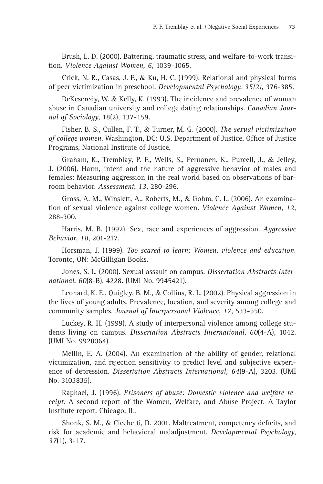Brush, L. D. (2000). Battering, traumatic stress, and welfare-to-work transition. *Violence Against Women, 6,* 1039-1065.

Crick, N. R., Casas, J. F., & Ku, H. C. (1999). Relational and physical forms of peer victimization in preschool. *Developmental Psychology, 35(2),* 376-385.

DeKeseredy, W. & Kelly, K. (1993). The incidence and prevalence of woman abuse in Canadian university and college dating relationships. *Canadian Journal of Sociology*, 18(2), 137-159.

Fisher, B. S., Cullen, F. T., & Turner, M. G. (2000). *The sexual victimization of college women*. Washington, DC: U.S. Department of Justice, Office of Justice Programs, National Institute of Justice.

Graham, K., Tremblay, P. F., Wells, S., Pernanen, K., Purcell, J., & Jelley, J. (2006). Harm, intent and the nature of aggressive behavior of males and females: Measuring aggression in the real world based on observations of barroom behavior. *Assessment*, *13*, 280-296.

Gross, A. M., Winslett, A., Roberts, M., & Gohm, C. L. (2006). An examination of sexual violence against college women. *Violence Against Women*, *12*, 288-300.

Harris, M. B. (1992). Sex, race and experiences of aggression. *Aggressive Behavior*, *18*, 201-217.

Horsman, J. (1999). *Too scared to learn: Women, violence and education.* Toronto, ON: McGilligan Books.

Jones, S. L. (2000). Sexual assault on campus. *Dissertation Abstracts International*, *60*(8-B). 4228. (UMI No. 9945421).

Leonard, K. E., Quigley, B. M., & Collins, R. L. (2002). Physical aggression in the lives of young adults. Prevalence, location, and severity among college and community samples. *Journal of Interpersonal Violence*, *17*, 533-550.

Luckey, R. H. (1999). A study of interpersonal violence among college students living on campus. *Dissertation Abstracts International*, *60*(4-A), 1042. (UMI No. 9928064).

Mellin, E. A. (2004). An examination of the ability of gender, relational victimization, and rejection sensitivity to predict level and subjective experience of depression. *Dissertation Abstracts International, 64*(9-A), 3203. (UMI No. 3103835).

Raphael, J. (1996). *Prisoners of abuse: Domestic violence and welfare receipt*. A second report of the Women, Welfare, and Abuse Project. A Taylor Institute report. Chicago, IL.

Shonk, S. M., & Cicchetti, D. 2001. Maltreatment, competency deficits, and risk for academic and behavioral maladjustment. *Developmental Psychology*, *37*(1), 3-17.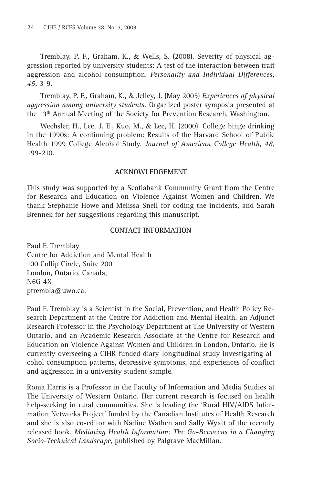Tremblay, P. F., Graham, K., & Wells, S. (2008). Severity of physical aggression reported by university students: A test of the interaction between trait aggression and alcohol consumption. *Personality and Individual Differences, 45,* 3-9.

Tremblay, P. F., Graham, K., & Jelley, J. (May 2005) *Experiences of physical aggression among university students.* Organized poster symposia presented at the 13th Annual Meeting of the Society for Prevention Research, Washington.

Wechsler, H., Lee, J. E., Kuo, M., & Lee, H. (2000). College binge drinking in the 1990s: A continuing problem: Results of the Harvard School of Public Health 1999 College Alcohol Study. *Journal of American College Health*, *48*, 199-210.

# **ACKNOWLEDGEMENT**

This study was supported by a Scotiabank Community Grant from the Centre for Research and Education on Violence Against Women and Children. We thank Stephanie Howe and Melissa Snell for coding the incidents, and Sarah Brennek for her suggestions regarding this manuscript.

# **CONTACT INFORMATION**

Paul F. Tremblay Centre for Addiction and Mental Health 100 Collip Circle, Suite 200 London, Ontario, Canada, N6G 4X ptrembla@uwo.ca.

Paul F. Tremblay is a Scientist in the Social, Prevention, and Health Policy Research Department at the Centre for Addiction and Mental Health, an Adjunct Research Professor in the Psychology Department at The University of Western Ontario, and an Academic Research Associate at the Centre for Research and Education on Violence Against Women and Children in London, Ontario. He is currently overseeing a CIHR funded diary-longitudinal study investigating alcohol consumption patterns, depressive symptoms, and experiences of conflict and aggression in a university student sample.

Roma Harris is a Professor in the Faculty of Information and Media Studies at The University of Western Ontario. Her current research is focused on health help-seeking in rural communities. She is leading the 'Rural HIV/AIDS Information Networks Project' funded by the Canadian Institutes of Health Research and she is also co-editor with Nadine Wathen and Sally Wyatt of the recently released book, *Mediating Health Information: The Go-Betweens in a Changing Socio-Technical Landscape*, published by Palgrave MacMillan.